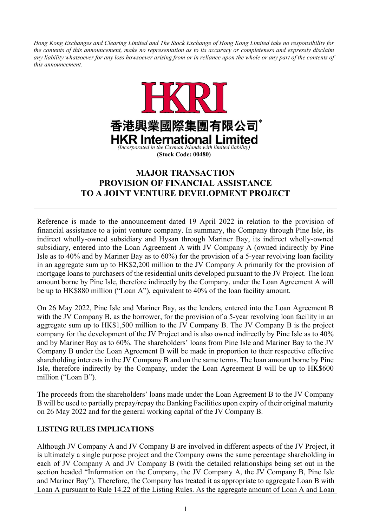*Hong Kong Exchanges and Clearing Limited and The Stock Exchange of Hong Kong Limited take no responsibility for the contents of this announcement, make no representation as to its accuracy or completeness and expressly disclaim any liability whatsoever for any loss howsoever arising from or in reliance upon the whole or any part of the contents of this announcement.*



# **MAJOR TRANSACTION PROVISION OF FINANCIAL ASSISTANCE TO A JOINT VENTURE DEVELOPMENT PROJECT**

Reference is made to the announcement dated 19 April 2022 in relation to the provision of financial assistance to a joint venture company. In summary, the Company through Pine Isle, its indirect wholly-owned subsidiary and Hysan through Mariner Bay, its indirect wholly-owned subsidiary, entered into the Loan Agreement A with JV Company A (owned indirectly by Pine Isle as to 40% and by Mariner Bay as to 60%) for the provision of a 5-year revolving loan facility in an aggregate sum up to HK\$2,200 million to the JV Company A primarily for the provision of mortgage loans to purchasers of the residential units developed pursuant to the JV Project. The loan amount borne by Pine Isle, therefore indirectly by the Company, under the Loan Agreement A will be up to HK\$880 million ("Loan A"), equivalent to 40% of the loan facility amount.

On 26 May 2022, Pine Isle and Mariner Bay, as the lenders, entered into the Loan Agreement B with the JV Company B, as the borrower, for the provision of a 5-year revolving loan facility in an aggregate sum up to HK\$1,500 million to the JV Company B. The JV Company B is the project company for the development of the JV Project and is also owned indirectly by Pine Isle as to 40% and by Mariner Bay as to 60%. The shareholders' loans from Pine Isle and Mariner Bay to the JV Company B under the Loan Agreement B will be made in proportion to their respective effective shareholding interests in the JV Company B and on the same terms. The loan amount borne by Pine Isle, therefore indirectly by the Company, under the Loan Agreement B will be up to HK\$600 million ("Loan B").

The proceeds from the shareholders' loans made under the Loan Agreement B to the JV Company B will be used to partially prepay/repay the Banking Facilities upon expiry of their original maturity on 26 May 2022 and for the general working capital of the JV Company B.

# **LISTING RULES IMPLICATIONS**

Although JV Company A and JV Company B are involved in different aspects of the JV Project, it is ultimately a single purpose project and the Company owns the same percentage shareholding in each of JV Company A and JV Company B (with the detailed relationships being set out in the section headed "Information on the Company, the JV Company A, the JV Company B, Pine Isle and Mariner Bay"). Therefore, the Company has treated it as appropriate to aggregate Loan B with Loan A pursuant to Rule 14.22 of the Listing Rules. As the aggregate amount of Loan A and Loan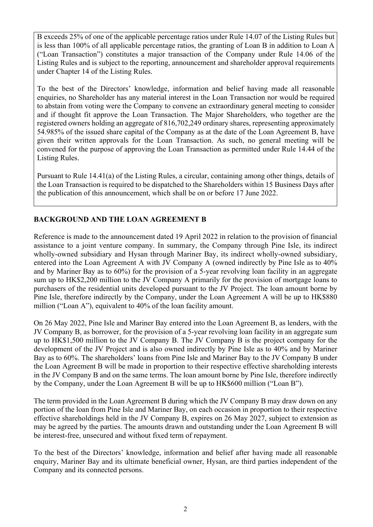B exceeds 25% of one of the applicable percentage ratios under Rule 14.07 of the Listing Rules but is less than 100% of all applicable percentage ratios, the granting of Loan B in addition to Loan A ("Loan Transaction") constitutes a major transaction of the Company under Rule 14.06 of the Listing Rules and is subject to the reporting, announcement and shareholder approval requirements under Chapter 14 of the Listing Rules.

To the best of the Directors' knowledge, information and belief having made all reasonable enquiries, no Shareholder has any material interest in the Loan Transaction nor would be required to abstain from voting were the Company to convene an extraordinary general meeting to consider and if thought fit approve the Loan Transaction. The Major Shareholders, who together are the registered owners holding an aggregate of 816,702,249 ordinary shares, representing approximately 54.985% of the issued share capital of the Company as at the date of the Loan Agreement B, have given their written approvals for the Loan Transaction. As such, no general meeting will be convened for the purpose of approving the Loan Transaction as permitted under Rule 14.44 of the Listing Rules.

Pursuant to Rule 14.41(a) of the Listing Rules, a circular, containing among other things, details of the Loan Transaction is required to be dispatched to the Shareholders within 15 Business Days after the publication of this announcement, which shall be on or before 17 June 2022.

# **BACKGROUND AND THE LOAN AGREEMENT B**

Reference is made to the announcement dated 19 April 2022 in relation to the provision of financial assistance to a joint venture company. In summary, the Company through Pine Isle, its indirect wholly-owned subsidiary and Hysan through Mariner Bay, its indirect wholly-owned subsidiary, entered into the Loan Agreement A with JV Company A (owned indirectly by Pine Isle as to 40% and by Mariner Bay as to 60%) for the provision of a 5-year revolving loan facility in an aggregate sum up to HK\$2,200 million to the JV Company A primarily for the provision of mortgage loans to purchasers of the residential units developed pursuant to the JV Project. The loan amount borne by Pine Isle, therefore indirectly by the Company, under the Loan Agreement A will be up to HK\$880 million ("Loan A"), equivalent to 40% of the loan facility amount.

On 26 May 2022, Pine Isle and Mariner Bay entered into the Loan Agreement B, as lenders, with the JV Company B, as borrower, for the provision of a 5-year revolving loan facility in an aggregate sum up to HK\$1,500 million to the JV Company B. The JV Company B is the project company for the development of the JV Project and is also owned indirectly by Pine Isle as to 40% and by Mariner Bay as to 60%. The shareholders' loans from Pine Isle and Mariner Bay to the JV Company B under the Loan Agreement B will be made in proportion to their respective effective shareholding interests in the JV Company B and on the same terms. The loan amount borne by Pine Isle, therefore indirectly by the Company, under the Loan Agreement B will be up to HK\$600 million ("Loan B").

The term provided in the Loan Agreement B during which the JV Company B may draw down on any portion of the loan from Pine Isle and Mariner Bay, on each occasion in proportion to their respective effective shareholdings held in the JV Company B, expires on 26 May 2027, subject to extension as may be agreed by the parties. The amounts drawn and outstanding under the Loan Agreement B will be interest-free, unsecured and without fixed term of repayment.

To the best of the Directors' knowledge, information and belief after having made all reasonable enquiry, Mariner Bay and its ultimate beneficial owner, Hysan, are third parties independent of the Company and its connected persons.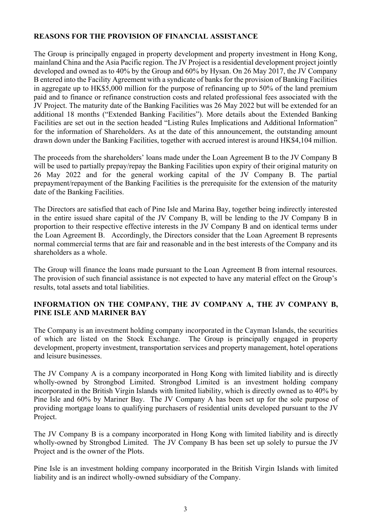### **REASONS FOR THE PROVISION OF FINANCIAL ASSISTANCE**

The Group is principally engaged in property development and property investment in Hong Kong, mainland China and the Asia Pacific region. The JV Project is a residential development project jointly developed and owned as to 40% by the Group and 60% by Hysan. On 26 May 2017, the JV Company B entered into the Facility Agreement with a syndicate of banks for the provision of Banking Facilities in aggregate up to HK\$5,000 million for the purpose of refinancing up to 50% of the land premium paid and to finance or refinance construction costs and related professional fees associated with the JV Project. The maturity date of the Banking Facilities was 26 May 2022 but will be extended for an additional 18 months ("Extended Banking Facilities"). More details about the Extended Banking Facilities are set out in the section headed "Listing Rules Implications and Additional Information" for the information of Shareholders. As at the date of this announcement, the outstanding amount drawn down under the Banking Facilities, together with accrued interest is around HK\$4,104 million.

The proceeds from the shareholders' loans made under the Loan Agreement B to the JV Company B will be used to partially prepay/repay the Banking Facilities upon expiry of their original maturity on 26 May 2022 and for the general working capital of the JV Company B. The partial prepayment/repayment of the Banking Facilities is the prerequisite for the extension of the maturity date of the Banking Facilities.

The Directors are satisfied that each of Pine Isle and Marina Bay, together being indirectly interested in the entire issued share capital of the JV Company B, will be lending to the JV Company B in proportion to their respective effective interests in the JV Company B and on identical terms under the Loan Agreement B. Accordingly, the Directors consider that the Loan Agreement B represents normal commercial terms that are fair and reasonable and in the best interests of the Company and its shareholders as a whole.

The Group will finance the loans made pursuant to the Loan Agreement B from internal resources. The provision of such financial assistance is not expected to have any material effect on the Group's results, total assets and total liabilities.

### **INFORMATION ON THE COMPANY, THE JV COMPANY A, THE JV COMPANY B, PINE ISLE AND MARINER BAY**

The Company is an investment holding company incorporated in the Cayman Islands, the securities of which are listed on the Stock Exchange. The Group is principally engaged in property development, property investment, transportation services and property management, hotel operations and leisure businesses.

The JV Company A is a company incorporated in Hong Kong with limited liability and is directly wholly-owned by Strongbod Limited. Strongbod Limited is an investment holding company incorporated in the British Virgin Islands with limited liability, which is directly owned as to 40% by Pine Isle and 60% by Mariner Bay. The JV Company A has been set up for the sole purpose of providing mortgage loans to qualifying purchasers of residential units developed pursuant to the JV Project.

The JV Company B is a company incorporated in Hong Kong with limited liability and is directly wholly-owned by Strongbod Limited. The JV Company B has been set up solely to pursue the JV Project and is the owner of the Plots.

Pine Isle is an investment holding company incorporated in the British Virgin Islands with limited liability and is an indirect wholly-owned subsidiary of the Company.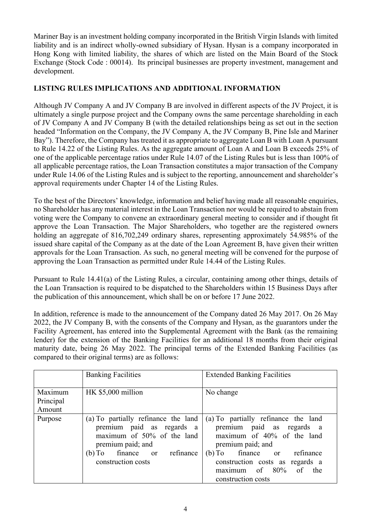Mariner Bay is an investment holding company incorporated in the British Virgin Islands with limited liability and is an indirect wholly-owned subsidiary of Hysan. Hysan is a company incorporated in Hong Kong with limited liability, the shares of which are listed on the Main Board of the Stock Exchange (Stock Code : 00014). Its principal businesses are property investment, management and development.

### **LISTING RULES IMPLICATIONS AND ADDITIONAL INFORMATION**

Although JV Company A and JV Company B are involved in different aspects of the JV Project, it is ultimately a single purpose project and the Company owns the same percentage shareholding in each of JV Company A and JV Company B (with the detailed relationships being as set out in the section headed "Information on the Company, the JV Company A, the JV Company B, Pine Isle and Mariner Bay"). Therefore, the Company has treated it as appropriate to aggregate Loan B with Loan A pursuant to Rule 14.22 of the Listing Rules. As the aggregate amount of Loan A and Loan B exceeds 25% of one of the applicable percentage ratios under Rule 14.07 of the Listing Rules but is less than 100% of all applicable percentage ratios, the Loan Transaction constitutes a major transaction of the Company under Rule 14.06 of the Listing Rules and is subject to the reporting, announcement and shareholder's approval requirements under Chapter 14 of the Listing Rules.

To the best of the Directors' knowledge, information and belief having made all reasonable enquiries, no Shareholder has any material interest in the Loan Transaction nor would be required to abstain from voting were the Company to convene an extraordinary general meeting to consider and if thought fit approve the Loan Transaction. The Major Shareholders, who together are the registered owners holding an aggregate of 816,702,249 ordinary shares, representing approximately 54.985% of the issued share capital of the Company as at the date of the Loan Agreement B, have given their written approvals for the Loan Transaction. As such, no general meeting will be convened for the purpose of approving the Loan Transaction as permitted under Rule 14.44 of the Listing Rules.

Pursuant to Rule 14.41(a) of the Listing Rules, a circular, containing among other things, details of the Loan Transaction is required to be dispatched to the Shareholders within 15 Business Days after the publication of this announcement, which shall be on or before 17 June 2022.

In addition, reference is made to the announcement of the Company dated 26 May 2017. On 26 May 2022, the JV Company B, with the consents of the Company and Hysan, as the guarantors under the Facility Agreement, has entered into the Supplemental Agreement with the Bank (as the remaining lender) for the extension of the Banking Facilities for an additional 18 months from their original maturity date, being 26 May 2022. The principal terms of the Extended Banking Facilities (as compared to their original terms) are as follows:

|                                | <b>Banking Facilities</b>                                                                                                                                                   | <b>Extended Banking Facilities</b>                                                                                                                                                                                                         |
|--------------------------------|-----------------------------------------------------------------------------------------------------------------------------------------------------------------------------|--------------------------------------------------------------------------------------------------------------------------------------------------------------------------------------------------------------------------------------------|
| Maximum<br>Principal<br>Amount | HK \$5,000 million                                                                                                                                                          | No change                                                                                                                                                                                                                                  |
| Purpose                        | (a) To partially refinance the land<br>premium paid as regards a<br>maximum of $50\%$ of the land<br>premium paid; and<br>(b) To finance or refinance<br>construction costs | (a) To partially refinance the land<br>premium paid as regards a<br>maximum of 40% of the land<br>premium paid; and<br>(b) To finance or refinance<br>construction costs as regards a<br>maximum of $80\%$ of<br>the<br>construction costs |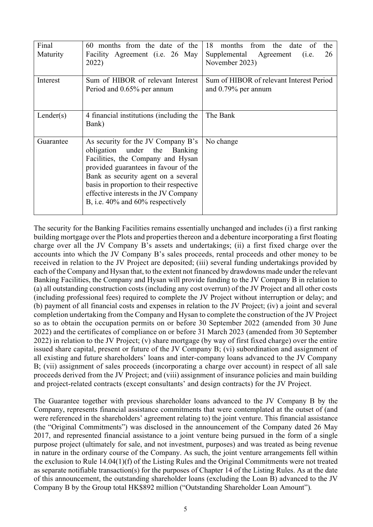| Final<br>Maturity | 60 months from the date of the<br>Facility Agreement (i.e. 26 May<br>2022)                                                                                                                                                                                                                                           | 18<br>months from the date<br>- of<br>the<br>26<br>Supplemental Agreement<br>(i.e.<br>November 2023) |
|-------------------|----------------------------------------------------------------------------------------------------------------------------------------------------------------------------------------------------------------------------------------------------------------------------------------------------------------------|------------------------------------------------------------------------------------------------------|
| Interest          | Sum of HIBOR of relevant Interest<br>Period and 0.65% per annum                                                                                                                                                                                                                                                      | Sum of HIBOR of relevant Interest Period<br>and 0.79% per annum                                      |
| Lender(s)         | 4 financial institutions (including the<br>Bank)                                                                                                                                                                                                                                                                     | The Bank                                                                                             |
| Guarantee         | As security for the JV Company B's<br>obligation under the Banking<br>Facilities, the Company and Hysan<br>provided guarantees in favour of the<br>Bank as security agent on a several<br>basis in proportion to their respective<br>effective interests in the JV Company<br>B, i.e. $40\%$ and $60\%$ respectively | No change                                                                                            |

The security for the Banking Facilities remains essentially unchanged and includes (i) a first ranking building mortgage over the Plots and properties thereon and a debenture incorporating a first floating charge over all the JV Company B's assets and undertakings; (ii) a first fixed charge over the accounts into which the JV Company B's sales proceeds, rental proceeds and other money to be received in relation to the JV Project are deposited; (iii) several funding undertakings provided by each of the Company and Hysan that, to the extent not financed by drawdowns made under the relevant Banking Facilities, the Company and Hysan will provide funding to the JV Company B in relation to (a) all outstanding construction costs (including any cost overrun) of the JV Project and all other costs (including professional fees) required to complete the JV Project without interruption or delay; and (b) payment of all financial costs and expenses in relation to the JV Project; (iv) a joint and several completion undertaking from the Company and Hysan to complete the construction of the JV Project so as to obtain the occupation permits on or before 30 September 2022 (amended from 30 June 2022) and the certificates of compliance on or before 31 March 2023 (amended from 30 September 2022) in relation to the JV Project; (v) share mortgage (by way of first fixed charge) over the entire issued share capital, present or future of the JV Company B; (vi) subordination and assignment of all existing and future shareholders' loans and inter-company loans advanced to the JV Company B; (vii) assignment of sales proceeds (incorporating a charge over account) in respect of all sale proceeds derived from the JV Project; and (viii) assignment of insurance policies and main building and project-related contracts (except consultants' and design contracts) for the JV Project.

The Guarantee together with previous shareholder loans advanced to the JV Company B by the Company, represents financial assistance commitments that were contemplated at the outset of (and were referenced in the shareholders' agreement relating to) the joint venture. This financial assistance (the "Original Commitments") was disclosed in the announcement of the Company dated 26 May 2017, and represented financial assistance to a joint venture being pursued in the form of a single purpose project (ultimately for sale, and not investment, purposes) and was treated as being revenue in nature in the ordinary course of the Company. As such, the joint venture arrangements fell within the exclusion to Rule 14.04(1)(f) of the Listing Rules and the Original Commitments were not treated as separate notifiable transaction(s) for the purposes of Chapter 14 of the Listing Rules. As at the date of this announcement, the outstanding shareholder loans (excluding the Loan B) advanced to the JV Company B by the Group total HK\$892 million ("Outstanding Shareholder Loan Amount")*.*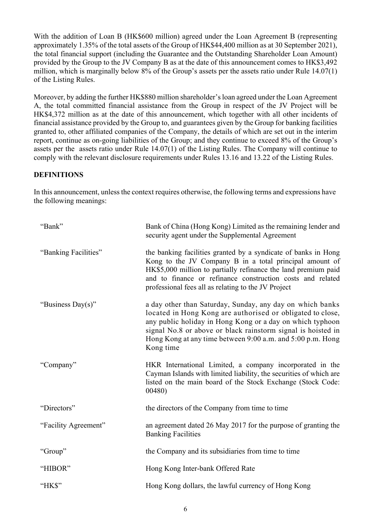With the addition of Loan B (HK\$600 million) agreed under the Loan Agreement B (representing approximately 1.35% of the total assets of the Group of HK\$44,400 million as at 30 September 2021), the total financial support (including the Guarantee and the Outstanding Shareholder Loan Amount) provided by the Group to the JV Company B as at the date of this announcement comes to HK\$3,492 million, which is marginally below 8% of the Group's assets per the assets ratio under Rule 14.07(1) of the Listing Rules.

Moreover, by adding the further HK\$880 million shareholder's loan agreed under the Loan Agreement A, the total committed financial assistance from the Group in respect of the JV Project will be HK\$4,372 million as at the date of this announcement, which together with all other incidents of financial assistance provided by the Group to, and guarantees given by the Group for banking facilities granted to, other affiliated companies of the Company, the details of which are set out in the interim report, continue as on-going liabilities of the Group; and they continue to exceed 8% of the Group's assets per the assets ratio under Rule 14.07(1) of the Listing Rules. The Company will continue to comply with the relevant disclosure requirements under Rules 13.16 and 13.22 of the Listing Rules.

#### **DEFINITIONS**

In this announcement, unless the context requires otherwise, the following terms and expressions have the following meanings:

| "Bank"               | Bank of China (Hong Kong) Limited as the remaining lender and<br>security agent under the Supplemental Agreement                                                                                                                                                                                                                |
|----------------------|---------------------------------------------------------------------------------------------------------------------------------------------------------------------------------------------------------------------------------------------------------------------------------------------------------------------------------|
| "Banking Facilities" | the banking facilities granted by a syndicate of banks in Hong<br>Kong to the JV Company B in a total principal amount of<br>HK\$5,000 million to partially refinance the land premium paid<br>and to finance or refinance construction costs and related<br>professional fees all as relating to the JV Project                |
| "Business Day(s)"    | a day other than Saturday, Sunday, any day on which banks<br>located in Hong Kong are authorised or obligated to close,<br>any public holiday in Hong Kong or a day on which typhoon<br>signal No.8 or above or black rainstorm signal is hoisted in<br>Hong Kong at any time between 9:00 a.m. and 5:00 p.m. Hong<br>Kong time |
| "Company"            | HKR International Limited, a company incorporated in the<br>Cayman Islands with limited liability, the securities of which are<br>listed on the main board of the Stock Exchange (Stock Code:<br>00480                                                                                                                          |
| "Directors"          | the directors of the Company from time to time                                                                                                                                                                                                                                                                                  |
| "Facility Agreement" | an agreement dated 26 May 2017 for the purpose of granting the<br><b>Banking Facilities</b>                                                                                                                                                                                                                                     |
| "Group"              | the Company and its subsidiaries from time to time                                                                                                                                                                                                                                                                              |
| "HIBOR"              | Hong Kong Inter-bank Offered Rate                                                                                                                                                                                                                                                                                               |
| "HK\$"               | Hong Kong dollars, the lawful currency of Hong Kong                                                                                                                                                                                                                                                                             |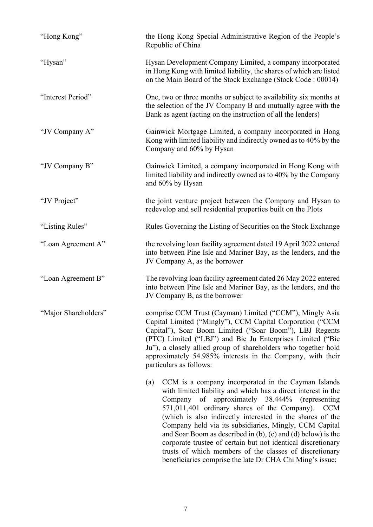| "Hong Kong"          | the Hong Kong Special Administrative Region of the People's<br>Republic of China                                                                                                                                                                                                                                                                                                                                                                                                                                                                                                                                                     |
|----------------------|--------------------------------------------------------------------------------------------------------------------------------------------------------------------------------------------------------------------------------------------------------------------------------------------------------------------------------------------------------------------------------------------------------------------------------------------------------------------------------------------------------------------------------------------------------------------------------------------------------------------------------------|
| "Hysan"              | Hysan Development Company Limited, a company incorporated<br>in Hong Kong with limited liability, the shares of which are listed<br>on the Main Board of the Stock Exchange (Stock Code: 00014)                                                                                                                                                                                                                                                                                                                                                                                                                                      |
| "Interest Period"    | One, two or three months or subject to availability six months at<br>the selection of the JV Company B and mutually agree with the<br>Bank as agent (acting on the instruction of all the lenders)                                                                                                                                                                                                                                                                                                                                                                                                                                   |
| "JV Company A"       | Gainwick Mortgage Limited, a company incorporated in Hong<br>Kong with limited liability and indirectly owned as to 40% by the<br>Company and 60% by Hysan                                                                                                                                                                                                                                                                                                                                                                                                                                                                           |
| "JV Company B"       | Gainwick Limited, a company incorporated in Hong Kong with<br>limited liability and indirectly owned as to 40% by the Company<br>and 60% by Hysan                                                                                                                                                                                                                                                                                                                                                                                                                                                                                    |
| "JV Project"         | the joint venture project between the Company and Hysan to<br>redevelop and sell residential properties built on the Plots                                                                                                                                                                                                                                                                                                                                                                                                                                                                                                           |
| "Listing Rules"      | Rules Governing the Listing of Securities on the Stock Exchange                                                                                                                                                                                                                                                                                                                                                                                                                                                                                                                                                                      |
| "Loan Agreement A"   | the revolving loan facility agreement dated 19 April 2022 entered<br>into between Pine Isle and Mariner Bay, as the lenders, and the<br>JV Company A, as the borrower                                                                                                                                                                                                                                                                                                                                                                                                                                                                |
| "Loan Agreement B"   | The revolving loan facility agreement dated 26 May 2022 entered<br>into between Pine Isle and Mariner Bay, as the lenders, and the<br>JV Company B, as the borrower                                                                                                                                                                                                                                                                                                                                                                                                                                                                  |
| "Major Shareholders" | comprise CCM Trust (Cayman) Limited ("CCM"), Mingly Asia<br>Capital Limited ("Mingly"), CCM Capital Corporation ("CCM<br>Capital"), Soar Boom Limited ("Soar Boom"), LBJ Regents<br>(PTC) Limited ("LBJ") and Bie Ju Enterprises Limited ("Bie<br>Ju"), a closely allied group of shareholders who together hold<br>approximately 54.985% interests in the Company, with their<br>particulars as follows:                                                                                                                                                                                                                            |
|                      | CCM is a company incorporated in the Cayman Islands<br>(a)<br>with limited liability and which has a direct interest in the<br>Company of approximately 38.444%<br>(representing)<br>571,011,401 ordinary shares of the Company).<br><b>CCM</b><br>(which is also indirectly interested in the shares of the<br>Company held via its subsidiaries, Mingly, CCM Capital<br>and Soar Boom as described in $(b)$ , $(c)$ and $(d)$ below) is the<br>corporate trustee of certain but not identical discretionary<br>trusts of which members of the classes of discretionary<br>beneficiaries comprise the late Dr CHA Chi Ming's issue; |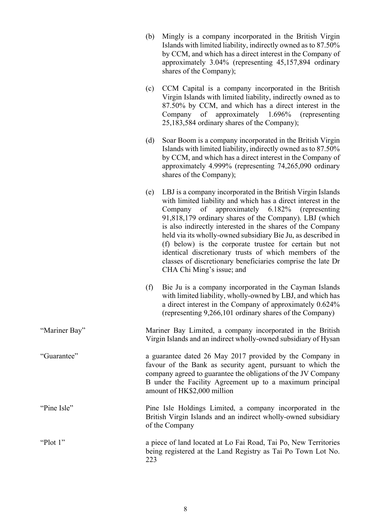|               | (b) | Mingly is a company incorporated in the British Virgin<br>Islands with limited liability, indirectly owned as to 87.50%<br>by CCM, and which has a direct interest in the Company of<br>approximately 3.04% (representing 45,157,894 ordinary<br>shares of the Company);                                                                                                                                                                                                                                                                                                               |
|---------------|-----|----------------------------------------------------------------------------------------------------------------------------------------------------------------------------------------------------------------------------------------------------------------------------------------------------------------------------------------------------------------------------------------------------------------------------------------------------------------------------------------------------------------------------------------------------------------------------------------|
|               | (c) | CCM Capital is a company incorporated in the British<br>Virgin Islands with limited liability, indirectly owned as to<br>87.50% by CCM, and which has a direct interest in the<br>Company of approximately $1.696\%$<br>(representing)<br>25,183,584 ordinary shares of the Company);                                                                                                                                                                                                                                                                                                  |
|               | (d) | Soar Boom is a company incorporated in the British Virgin<br>Islands with limited liability, indirectly owned as to 87.50%<br>by CCM, and which has a direct interest in the Company of<br>approximately 4.999% (representing 74,265,090 ordinary<br>shares of the Company);                                                                                                                                                                                                                                                                                                           |
|               | (e) | LBJ is a company incorporated in the British Virgin Islands<br>with limited liability and which has a direct interest in the<br>Company of approximately 6.182% (representing<br>91,818,179 ordinary shares of the Company). LBJ (which<br>is also indirectly interested in the shares of the Company<br>held via its wholly-owned subsidiary Bie Ju, as described in<br>(f) below) is the corporate trustee for certain but not<br>identical discretionary trusts of which members of the<br>classes of discretionary beneficiaries comprise the late Dr<br>CHA Chi Ming's issue; and |
|               | (f) | Bie Ju is a company incorporated in the Cayman Islands<br>with limited liability, wholly-owned by LBJ, and which has<br>a direct interest in the Company of approximately 0.624%<br>(representing 9,266,101 ordinary shares of the Company)                                                                                                                                                                                                                                                                                                                                            |
| "Mariner Bay" |     | Mariner Bay Limited, a company incorporated in the British<br>Virgin Islands and an indirect wholly-owned subsidiary of Hysan                                                                                                                                                                                                                                                                                                                                                                                                                                                          |
| "Guarantee"   |     | a guarantee dated 26 May 2017 provided by the Company in<br>favour of the Bank as security agent, pursuant to which the<br>company agreed to guarantee the obligations of the JV Company<br>B under the Facility Agreement up to a maximum principal<br>amount of HK\$2,000 million                                                                                                                                                                                                                                                                                                    |
| "Pine Isle"   |     | Pine Isle Holdings Limited, a company incorporated in the<br>British Virgin Islands and an indirect wholly-owned subsidiary<br>of the Company                                                                                                                                                                                                                                                                                                                                                                                                                                          |
| "Plot 1"      | 223 | a piece of land located at Lo Fai Road, Tai Po, New Territories<br>being registered at the Land Registry as Tai Po Town Lot No.                                                                                                                                                                                                                                                                                                                                                                                                                                                        |
|               |     |                                                                                                                                                                                                                                                                                                                                                                                                                                                                                                                                                                                        |